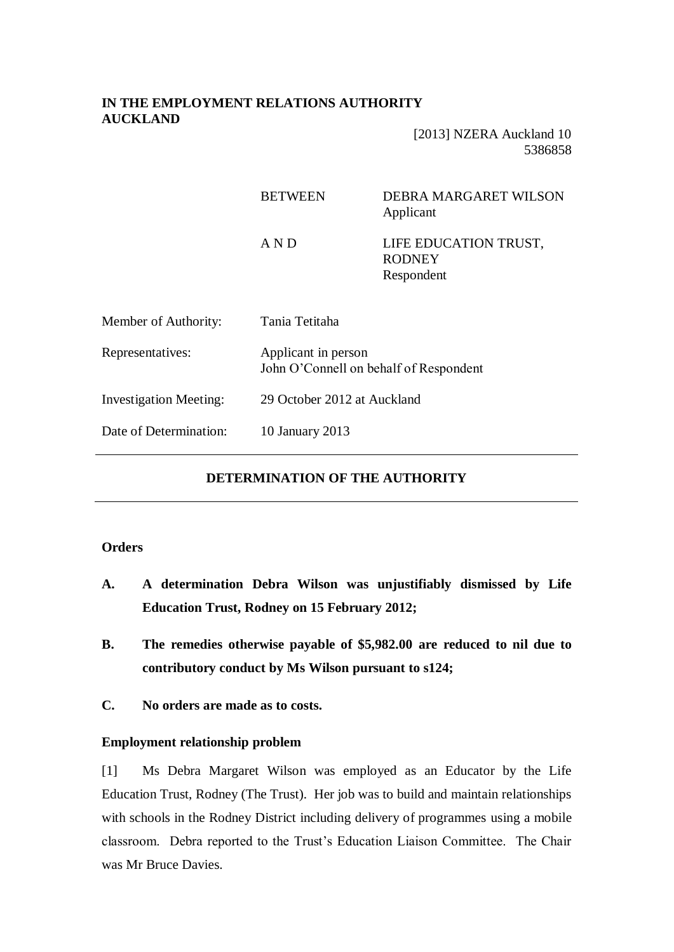# **IN THE EMPLOYMENT RELATIONS AUTHORITY AUCKLAND**

[2013] NZERA Auckland 10 5386858

|                               | <b>BETWEEN</b>                                                | <b>DEBRA MARGARET WILSON</b><br>Applicant            |
|-------------------------------|---------------------------------------------------------------|------------------------------------------------------|
|                               | AND                                                           | LIFE EDUCATION TRUST,<br><b>RODNEY</b><br>Respondent |
| Member of Authority:          | Tania Tetitaha                                                |                                                      |
| Representatives:              | Applicant in person<br>John O'Connell on behalf of Respondent |                                                      |
| <b>Investigation Meeting:</b> | 29 October 2012 at Auckland                                   |                                                      |
| Date of Determination:        | 10 January 2013                                               |                                                      |

# **DETERMINATION OF THE AUTHORITY**

# **Orders**

- **A. A determination Debra Wilson was unjustifiably dismissed by Life Education Trust, Rodney on 15 February 2012;**
- **B. The remedies otherwise payable of \$5,982.00 are reduced to nil due to contributory conduct by Ms Wilson pursuant to s124;**
- **C. No orders are made as to costs.**

# **Employment relationship problem**

[1] Ms Debra Margaret Wilson was employed as an Educator by the Life Education Trust, Rodney (The Trust). Her job was to build and maintain relationships with schools in the Rodney District including delivery of programmes using a mobile classroom. Debra reported to the Trust's Education Liaison Committee. The Chair was Mr Bruce Davies.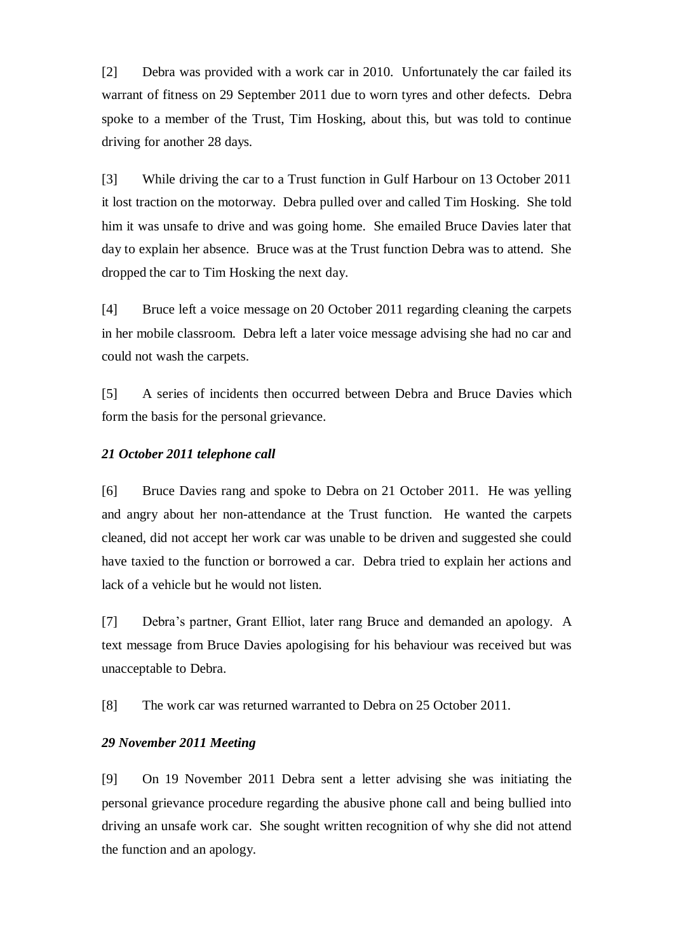[2] Debra was provided with a work car in 2010. Unfortunately the car failed its warrant of fitness on 29 September 2011 due to worn tyres and other defects. Debra spoke to a member of the Trust, Tim Hosking, about this, but was told to continue driving for another 28 days.

[3] While driving the car to a Trust function in Gulf Harbour on 13 October 2011 it lost traction on the motorway. Debra pulled over and called Tim Hosking. She told him it was unsafe to drive and was going home. She emailed Bruce Davies later that day to explain her absence. Bruce was at the Trust function Debra was to attend. She dropped the car to Tim Hosking the next day.

[4] Bruce left a voice message on 20 October 2011 regarding cleaning the carpets in her mobile classroom. Debra left a later voice message advising she had no car and could not wash the carpets.

[5] A series of incidents then occurred between Debra and Bruce Davies which form the basis for the personal grievance.

#### *21 October 2011 telephone call*

[6] Bruce Davies rang and spoke to Debra on 21 October 2011. He was yelling and angry about her non-attendance at the Trust function. He wanted the carpets cleaned, did not accept her work car was unable to be driven and suggested she could have taxied to the function or borrowed a car. Debra tried to explain her actions and lack of a vehicle but he would not listen.

[7] Debra's partner, Grant Elliot, later rang Bruce and demanded an apology. A text message from Bruce Davies apologising for his behaviour was received but was unacceptable to Debra.

[8] The work car was returned warranted to Debra on 25 October 2011.

### *29 November 2011 Meeting*

[9] On 19 November 2011 Debra sent a letter advising she was initiating the personal grievance procedure regarding the abusive phone call and being bullied into driving an unsafe work car. She sought written recognition of why she did not attend the function and an apology.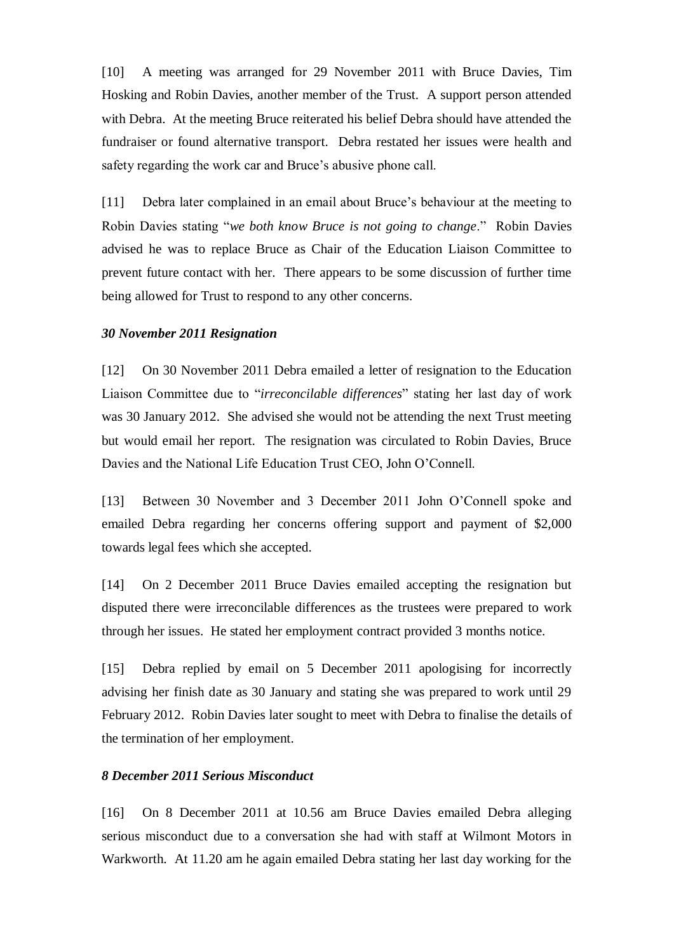[10] A meeting was arranged for 29 November 2011 with Bruce Davies, Tim Hosking and Robin Davies, another member of the Trust. A support person attended with Debra. At the meeting Bruce reiterated his belief Debra should have attended the fundraiser or found alternative transport. Debra restated her issues were health and safety regarding the work car and Bruce's abusive phone call.

[11] Debra later complained in an email about Bruce's behaviour at the meeting to Robin Davies stating "*we both know Bruce is not going to change*." Robin Davies advised he was to replace Bruce as Chair of the Education Liaison Committee to prevent future contact with her. There appears to be some discussion of further time being allowed for Trust to respond to any other concerns.

#### *30 November 2011 Resignation*

[12] On 30 November 2011 Debra emailed a letter of resignation to the Education Liaison Committee due to "*irreconcilable differences*" stating her last day of work was 30 January 2012. She advised she would not be attending the next Trust meeting but would email her report. The resignation was circulated to Robin Davies, Bruce Davies and the National Life Education Trust CEO, John O'Connell.

[13] Between 30 November and 3 December 2011 John O'Connell spoke and emailed Debra regarding her concerns offering support and payment of \$2,000 towards legal fees which she accepted.

[14] On 2 December 2011 Bruce Davies emailed accepting the resignation but disputed there were irreconcilable differences as the trustees were prepared to work through her issues. He stated her employment contract provided 3 months notice.

[15] Debra replied by email on 5 December 2011 apologising for incorrectly advising her finish date as 30 January and stating she was prepared to work until 29 February 2012. Robin Davies later sought to meet with Debra to finalise the details of the termination of her employment.

# *8 December 2011 Serious Misconduct*

[16] On 8 December 2011 at 10.56 am Bruce Davies emailed Debra alleging serious misconduct due to a conversation she had with staff at Wilmont Motors in Warkworth. At 11.20 am he again emailed Debra stating her last day working for the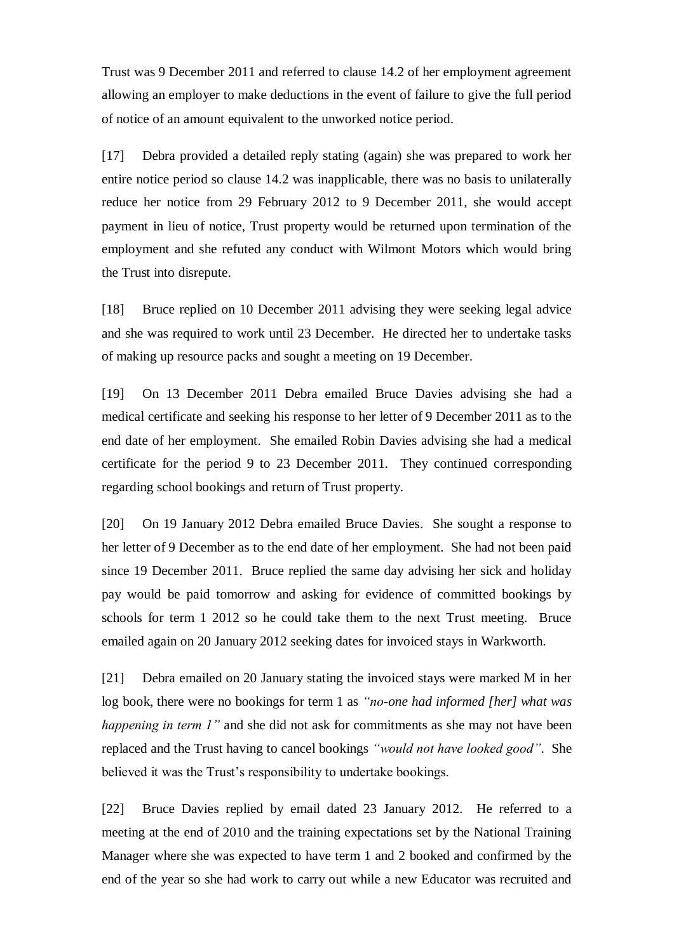Trust was 9 December 2011 and referred to clause 14.2 of her employment agreement allowing an employer to make deductions in the event of failure to give the full period of notice of an amount equivalent to the unworked notice period.

[17] Debra provided a detailed reply stating (again) she was prepared to work her entire notice period so clause 14.2 was inapplicable, there was no basis to unilaterally reduce her notice from 29 February 2012 to 9 December 2011, she would accept payment in lieu of notice, Trust property would be returned upon termination of the employment and she refuted any conduct with Wilmont Motors which would bring the Trust into disrepute.

[18] Bruce replied on 10 December 2011 advising they were seeking legal advice and she was required to work until 23 December. He directed her to undertake tasks of making up resource packs and sought a meeting on 19 December.

[19] On 13 December 2011 Debra emailed Bruce Davies advising she had a medical certificate and seeking his response to her letter of 9 December 2011 as to the end date of her employment. She emailed Robin Davies advising she had a medical certificate for the period 9 to 23 December 2011. They continued corresponding regarding school bookings and return of Trust property.

[20] On 19 January 2012 Debra emailed Bruce Davies. She sought a response to her letter of 9 December as to the end date of her employment. She had not been paid since 19 December 2011. Bruce replied the same day advising her sick and holiday pay would be paid tomorrow and asking for evidence of committed bookings by schools for term 1 2012 so he could take them to the next Trust meeting. Bruce emailed again on 20 January 2012 seeking dates for invoiced stays in Warkworth.

[21] Debra emailed on 20 January stating the invoiced stays were marked M in her log book, there were no bookings for term 1 as *"no-one had informed [her] what was happening in term 1"* and she did not ask for commitments as she may not have been replaced and the Trust having to cancel bookings *"would not have looked good"*. She believed it was the Trust's responsibility to undertake bookings.

[22] Bruce Davies replied by email dated 23 January 2012. He referred to a meeting at the end of 2010 and the training expectations set by the National Training Manager where she was expected to have term 1 and 2 booked and confirmed by the end of the year so she had work to carry out while a new Educator was recruited and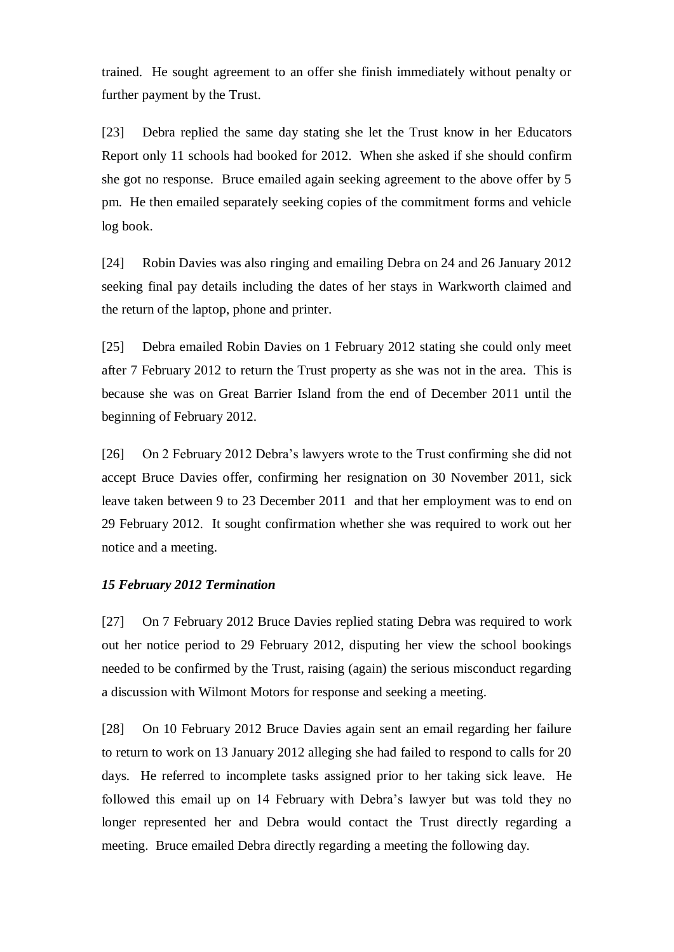trained. He sought agreement to an offer she finish immediately without penalty or further payment by the Trust.

[23] Debra replied the same day stating she let the Trust know in her Educators Report only 11 schools had booked for 2012. When she asked if she should confirm she got no response. Bruce emailed again seeking agreement to the above offer by 5 pm. He then emailed separately seeking copies of the commitment forms and vehicle log book.

[24] Robin Davies was also ringing and emailing Debra on 24 and 26 January 2012 seeking final pay details including the dates of her stays in Warkworth claimed and the return of the laptop, phone and printer.

[25] Debra emailed Robin Davies on 1 February 2012 stating she could only meet after 7 February 2012 to return the Trust property as she was not in the area. This is because she was on Great Barrier Island from the end of December 2011 until the beginning of February 2012.

[26] On 2 February 2012 Debra's lawyers wrote to the Trust confirming she did not accept Bruce Davies offer, confirming her resignation on 30 November 2011, sick leave taken between 9 to 23 December 2011 and that her employment was to end on 29 February 2012. It sought confirmation whether she was required to work out her notice and a meeting.

### *15 February 2012 Termination*

[27] On 7 February 2012 Bruce Davies replied stating Debra was required to work out her notice period to 29 February 2012, disputing her view the school bookings needed to be confirmed by the Trust, raising (again) the serious misconduct regarding a discussion with Wilmont Motors for response and seeking a meeting.

[28] On 10 February 2012 Bruce Davies again sent an email regarding her failure to return to work on 13 January 2012 alleging she had failed to respond to calls for 20 days. He referred to incomplete tasks assigned prior to her taking sick leave. He followed this email up on 14 February with Debra's lawyer but was told they no longer represented her and Debra would contact the Trust directly regarding a meeting. Bruce emailed Debra directly regarding a meeting the following day.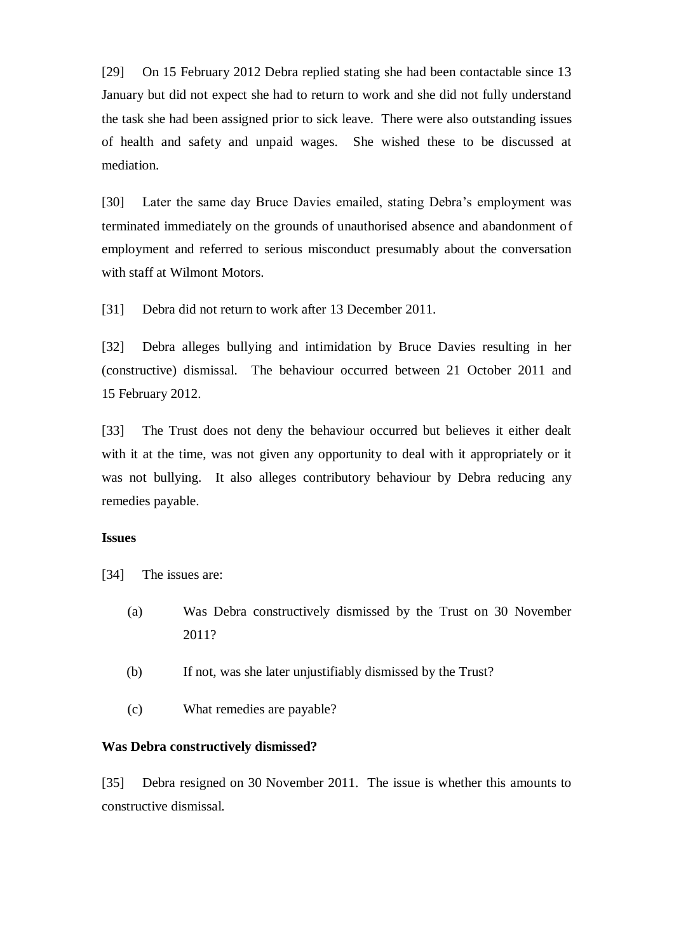[29] On 15 February 2012 Debra replied stating she had been contactable since 13 January but did not expect she had to return to work and she did not fully understand the task she had been assigned prior to sick leave. There were also outstanding issues of health and safety and unpaid wages. She wished these to be discussed at mediation.

[30] Later the same day Bruce Davies emailed, stating Debra's employment was terminated immediately on the grounds of unauthorised absence and abandonment of employment and referred to serious misconduct presumably about the conversation with staff at Wilmont Motors.

[31] Debra did not return to work after 13 December 2011.

[32] Debra alleges bullying and intimidation by Bruce Davies resulting in her (constructive) dismissal. The behaviour occurred between 21 October 2011 and 15 February 2012.

[33] The Trust does not deny the behaviour occurred but believes it either dealt with it at the time, was not given any opportunity to deal with it appropriately or it was not bullying. It also alleges contributory behaviour by Debra reducing any remedies payable.

# **Issues**

[34] The issues are:

- (a) Was Debra constructively dismissed by the Trust on 30 November 2011?
- (b) If not, was she later unjustifiably dismissed by the Trust?
- (c) What remedies are payable?

#### **Was Debra constructively dismissed?**

[35] Debra resigned on 30 November 2011. The issue is whether this amounts to constructive dismissal.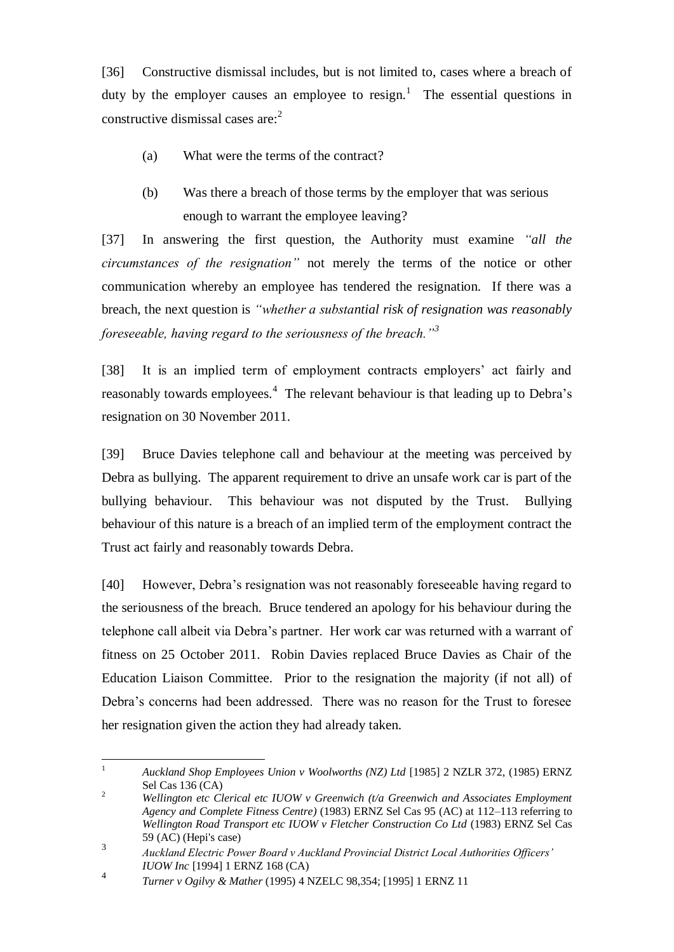[36] Constructive dismissal includes, but is not limited to, cases where a breach of duty by the employer causes an employee to resign.<sup>1</sup> The essential questions in constructive dismissal cases are: $2^2$ 

- (a) What were the terms of the contract?
- (b) Was there a breach of those terms by the employer that was serious enough to warrant the employee leaving?

[37] In answering the first question, the Authority must examine *"all the circumstances of the resignation"* not merely the terms of the notice or other communication whereby an employee has tendered the resignation. If there was a breach, the next question is *"whether a substantial risk of resignation was reasonably foreseeable, having regard to the seriousness of the breach."<sup>3</sup>*

[38] It is an implied term of employment contracts employers' act fairly and reasonably towards employees.<sup>4</sup> The relevant behaviour is that leading up to Debra's resignation on 30 November 2011.

[39] Bruce Davies telephone call and behaviour at the meeting was perceived by Debra as bullying. The apparent requirement to drive an unsafe work car is part of the bullying behaviour. This behaviour was not disputed by the Trust. Bullying behaviour of this nature is a breach of an implied term of the employment contract the Trust act fairly and reasonably towards Debra.

[40] However, Debra's resignation was not reasonably foreseeable having regard to the seriousness of the breach. Bruce tendered an apology for his behaviour during the telephone call albeit via Debra's partner. Her work car was returned with a warrant of fitness on 25 October 2011. Robin Davies replaced Bruce Davies as Chair of the Education Liaison Committee. Prior to the resignation the majority (if not all) of Debra's concerns had been addressed. There was no reason for the Trust to foresee her resignation given the action they had already taken.

 $\mathbf{1}$ <sup>1</sup> *Auckland Shop Employees Union v Woolworths (NZ) Ltd* [1985] 2 NZLR 372, (1985) ERNZ Sel Cas 136 (CA)

<sup>2</sup> *Wellington etc Clerical etc IUOW v Greenwich (t/a Greenwich and Associates Employment Agency and Complete Fitness Centre)* (1983) ERNZ Sel Cas 95 (AC) at 112–113 referring to *Wellington Road Transport etc IUOW v Fletcher Construction Co Ltd* (1983) ERNZ Sel Cas 59 (AC) (Hepi's case)

<sup>3</sup> *Auckland Electric Power Board v Auckland Provincial District Local Authorities Officers' IUOW Inc* [1994] 1 ERNZ 168 (CA)

<sup>4</sup> *Turner v Ogilvy & Mather* (1995) 4 NZELC 98,354; [1995] 1 ERNZ 11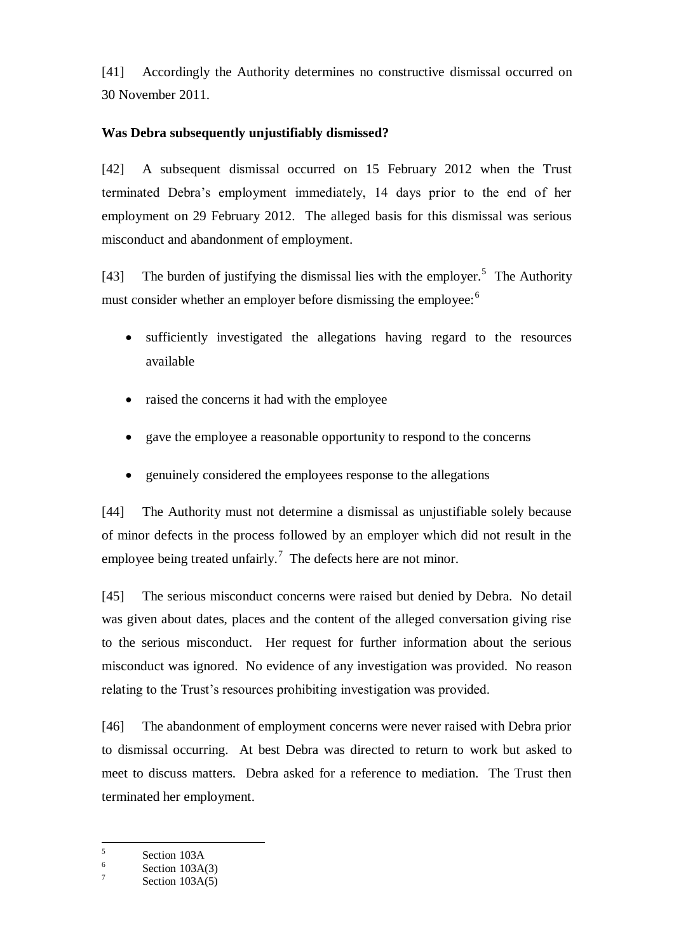[41] Accordingly the Authority determines no constructive dismissal occurred on 30 November 2011.

# **Was Debra subsequently unjustifiably dismissed?**

[42] A subsequent dismissal occurred on 15 February 2012 when the Trust terminated Debra's employment immediately, 14 days prior to the end of her employment on 29 February 2012. The alleged basis for this dismissal was serious misconduct and abandonment of employment.

[43] The burden of justifying the dismissal lies with the employer.<sup>5</sup> The Authority must consider whether an employer before dismissing the employee:<sup>6</sup>

- sufficiently investigated the allegations having regard to the resources available
- raised the concerns it had with the employee
- gave the employee a reasonable opportunity to respond to the concerns
- genuinely considered the employees response to the allegations

[44] The Authority must not determine a dismissal as unjustifiable solely because of minor defects in the process followed by an employer which did not result in the employee being treated unfairly.<sup>7</sup> The defects here are not minor.

[45] The serious misconduct concerns were raised but denied by Debra. No detail was given about dates, places and the content of the alleged conversation giving rise to the serious misconduct. Her request for further information about the serious misconduct was ignored. No evidence of any investigation was provided. No reason relating to the Trust's resources prohibiting investigation was provided.

[46] The abandonment of employment concerns were never raised with Debra prior to dismissal occurring. At best Debra was directed to return to work but asked to meet to discuss matters. Debra asked for a reference to mediation. The Trust then terminated her employment.

 5 Section 103A

<sup>6</sup> Section 103A(3)

<sup>7</sup> Section 103A(5)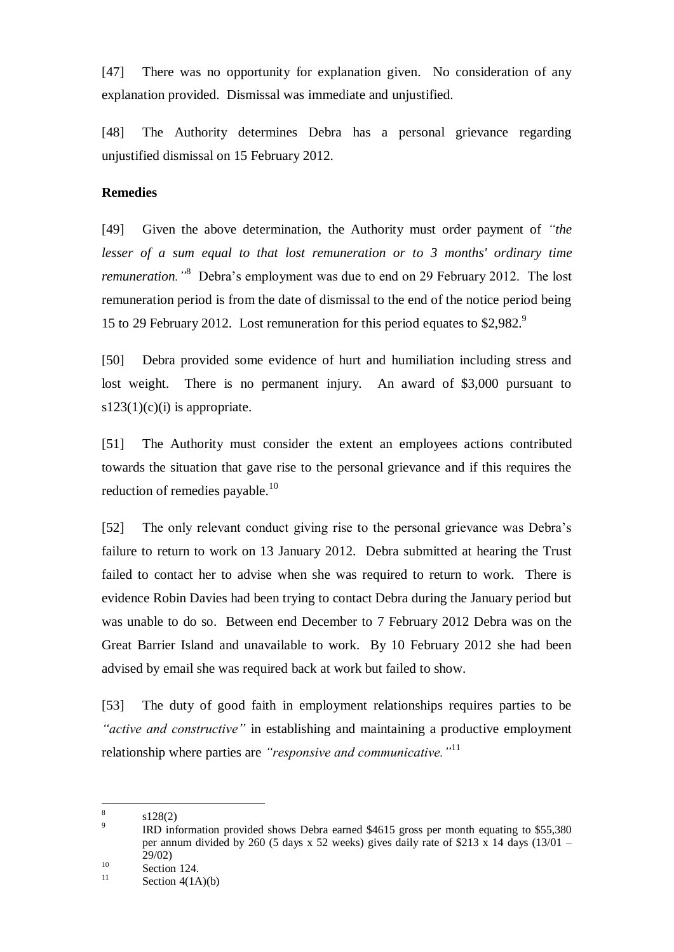[47] There was no opportunity for explanation given. No consideration of any explanation provided. Dismissal was immediate and unjustified.

[48] The Authority determines Debra has a personal grievance regarding unjustified dismissal on 15 February 2012.

# **Remedies**

[49] Given the above determination, the Authority must order payment of *"the lesser of a sum equal to that lost remuneration or to 3 months' ordinary time remuneration."*<sup>8</sup> Debra's employment was due to end on 29 February 2012. The lost remuneration period is from the date of dismissal to the end of the notice period being 15 to 29 February 2012. Lost remuneration for this period equates to \$2,982.<sup>9</sup>

[50] Debra provided some evidence of hurt and humiliation including stress and lost weight. There is no permanent injury. An award of \$3,000 pursuant to  $s123(1)(c)(i)$  is appropriate.

[51] The Authority must consider the extent an employees actions contributed towards the situation that gave rise to the personal grievance and if this requires the reduction of remedies payable.<sup>10</sup>

[52] The only relevant conduct giving rise to the personal grievance was Debra's failure to return to work on 13 January 2012. Debra submitted at hearing the Trust failed to contact her to advise when she was required to return to work. There is evidence Robin Davies had been trying to contact Debra during the January period but was unable to do so. Between end December to 7 February 2012 Debra was on the Great Barrier Island and unavailable to work. By 10 February 2012 she had been advised by email she was required back at work but failed to show.

[53] The duty of good faith in employment relationships requires parties to be *"active and constructive"* in establishing and maintaining a productive employment relationship where parties are *"responsive and communicative."*<sup>11</sup>

 $\frac{1}{8}$ s128(2)

<sup>9</sup> IRD information provided shows Debra earned \$4615 gross per month equating to \$55,380 per annum divided by 260 (5 days x 52 weeks) gives daily rate of \$213 x 14 days (13/01 – 29/02)

 $10$  Section 124.

Section  $4(1A)(b)$